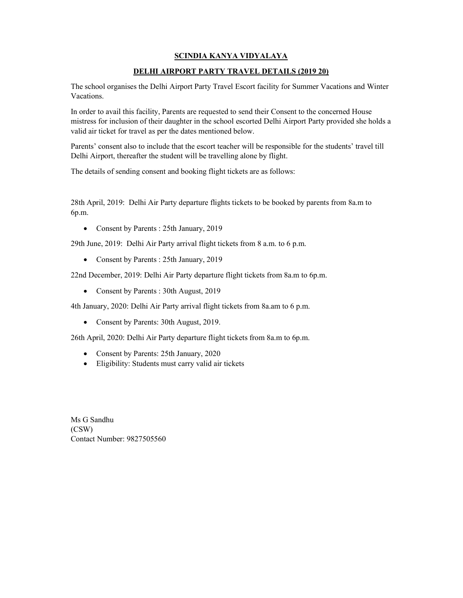## SCINDIA KANYA VIDYALAYA

## DELHI AIRPORT PARTY TRAVEL DETAILS (2019 20)

The school organises the Delhi Airport Party Travel Escort facility for Summer Vacations and Winter Vacations.

In order to avail this facility, Parents are requested to send their Consent to the concerned House mistress for inclusion of their daughter in the school escorted Delhi Airport Party provided she holds a valid air ticket for travel as per the dates mentioned below.

Parents' consent also to include that the escort teacher will be responsible for the students' travel till Delhi Airport, thereafter the student will be travelling alone by flight.

The details of sending consent and booking flight tickets are as follows:

28th April, 2019: Delhi Air Party departure flights tickets to be booked by parents from 8a.m to 6p.m.

Consent by Parents : 25th January, 2019

29th June, 2019: Delhi Air Party arrival flight tickets from 8 a.m. to 6 p.m.

Consent by Parents : 25th January, 2019

22nd December, 2019: Delhi Air Party departure flight tickets from 8a.m to 6p.m.

Consent by Parents : 30th August, 2019

4th January, 2020: Delhi Air Party arrival flight tickets from 8a.am to 6 p.m.

• Consent by Parents: 30th August, 2019.

26th April, 2020: Delhi Air Party departure flight tickets from 8a.m to 6p.m.

- Consent by Parents: 25th January, 2020
- Eligibility: Students must carry valid air tickets

Ms G Sandhu (CSW) Contact Number: 9827505560